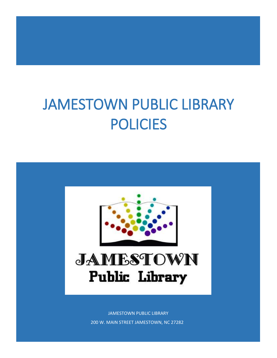# JAMESTOWN PUBLIC LIBRARY POLICIES



JAMESTOWN PUBLIC LIBRARY 200 W. MAIN STREET JAMESTOWN, NC 27282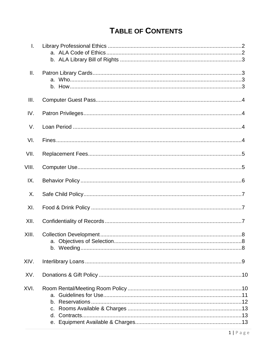# **TABLE OF CONTENTS**

| T.    |  |
|-------|--|
| Ш.    |  |
| III.  |  |
| IV.   |  |
| V.    |  |
| VI.   |  |
| VII.  |  |
| VIII. |  |
| IX.   |  |
| Χ.    |  |
| XI.   |  |
| XII.  |  |
| XIII. |  |
| XIV.  |  |
| XV.   |  |
| XVI.  |  |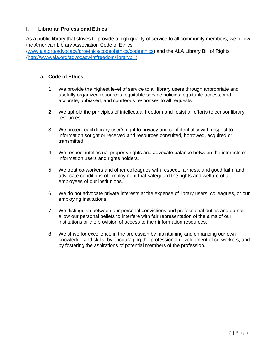# **I. Librarian Professional Ethics**

As a public library that strives to provide a high quality of service to all community members, we follow the American Library Association Code of Ethics

[\(www.ala.org/advocacy/proethics/codeofethics/codeethics\)](file:///C:/Users/Joy/Documents/Library%20Policies/www.ala.org/advocacy/proethics/codeofethics/codeethics) and the ALA Library Bill of Rights [\(http://www.ala.org/advocacy/intfreedom/librarybill\)](http://www.ala.org/advocacy/intfreedom/librarybill).

# **a. Code of Ethics**

- 1. We provide the highest level of service to all library users through appropriate and usefully organized resources; equitable service policies; equitable access; and accurate, unbiased, and courteous responses to all requests.
- 2. We uphold the principles of intellectual freedom and resist all efforts to censor library resources.
- 3. We protect each library user's right to privacy and confidentiality with respect to information sought or received and resources consulted, borrowed, acquired or transmitted.
- 4. We respect intellectual property rights and advocate balance between the interests of information users and rights holders.
- 5. We treat co-workers and other colleagues with respect, fairness, and good faith, and advocate conditions of employment that safeguard the rights and welfare of all employees of our institutions.
- 6. We do not advocate private interests at the expense of library users, colleagues, or our employing institutions.
- 7. We distinguish between our personal convictions and professional duties and do not allow our personal beliefs to interfere with fair representation of the aims of our institutions or the provision of access to their information resources.
- 8. We strive for excellence in the profession by maintaining and enhancing our own knowledge and skills, by encouraging the professional development of co-workers, and by fostering the aspirations of potential members of the profession.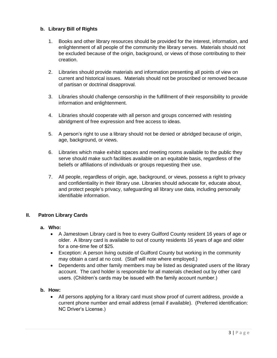# **b. Library Bill of Rights**

- 1. Books and other library resources should be provided for the interest, information, and enlightenment of all people of the community the library serves. Materials should not be excluded because of the origin, background, or views of those contributing to their creation.
- 2. Libraries should provide materials and information presenting all points of view on current and historical issues. Materials should not be proscribed or removed because of partisan or doctrinal disapproval.
- 3. Libraries should challenge censorship in the fulfillment of their responsibility to provide information and enlightenment.
- 4. Libraries should cooperate with all person and groups concerned with resisting abridgment of free expression and free access to ideas.
- 5. A person's right to use a library should not be denied or abridged because of origin, age, background, or views.
- 6. Libraries which make exhibit spaces and meeting rooms available to the public they serve should make such facilities available on an equitable basis, regardless of the beliefs or affiliations of individuals or groups requesting their use.
- 7. All people, regardless of origin, age, background, or views, possess a right to privacy and confidentiality in their library use. Libraries should advocate for, educate about, and protect people's privacy, safeguarding all library use data, including personally identifiable information.

# **II. Patron Library Cards**

# **a. Who:**

- A Jamestown Library card is free to every Guilford County resident 16 years of age or older. A library card is available to out of county residents 16 years of age and older for a one-time fee of \$25.
- Exception: A person living outside of Guilford County but working in the community may obtain a card at no cost. (Staff will note where employed.)
- Dependents and other family members may be listed as designated users of the library account. The card holder is responsible for all materials checked out by other card users. (Children's cards may be issued with the family account number.)

# **b. How:**

 All persons applying for a library card must show proof of current address, provide a current phone number and email address (email if available). (Preferred identification: NC Driver's License.)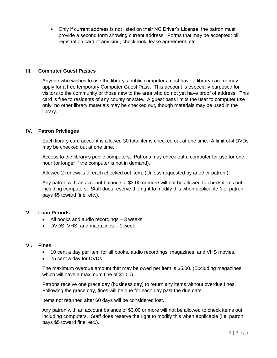Only if current address is not listed on their NC Driver's License, the patron must provide a second form showing current address. Forms that may be accepted: bill, registration card of any kind, checkbook, lease agreement, etc.

#### **III. Computer Guest Passes**

Anyone who wishes to use the library's public computers must have a library card or may apply for a free temporary Computer Guest Pass. This account is especially purposed for visitors to the community or those new to the area who do not yet have proof of address. This card is free to residents of any county or state. A guest pass limits the user to computer use only; no other library materials may be checked out, though materials may be used in the library.

#### **IV. Patron Privileges**

Each library card account is allowed 30 total items checked out at one time. A limit of 4 DVDs may be checked out at one time.

Access to the library's public computers. Patrons may check out a computer for use for one hour (or longer if the computer is not in demand).

Allowed 2 renewals of each checked out item. (Unless requested by another patron.)

Any patron with an account balance of \$3.00 or more will not be allowed to check items out, including computers. Staff does reserve the right to modify this when applicable (i.e. patron pays \$5 toward fine, etc.).

# **V. Loan Periods**

- All books and audio recordings 3 weeks
- DVDS, VHS, and magazines 1 week

#### **VI. Fines**

- 10 cent a day per item for all books, audio recordings, magazines, and VHS movies.
- 25 cent a day for DVDs

The maximum overdue amount that may be owed per item is \$5.00. (Excluding magazines, which will have a maximum fine of \$1.00).

Patrons receive one grace day (business day) to return any items without overdue fines. Following the grace day, fines will be due for each day past the due date.

Items not returned after 60 days will be considered lost.

Any patron with an account balance of \$3.00 or more will not be allowed to check items out, including computers. Staff does reserve the right to modify this when applicable (i.e. patron pays \$5 toward fine, etc.).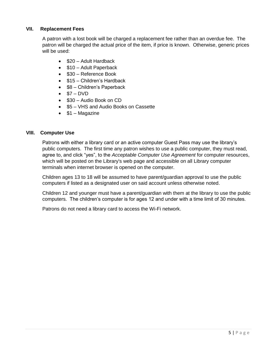# **VII. Replacement Fees**

A patron with a lost book will be charged a replacement fee rather than an overdue fee. The patron will be charged the actual price of the item, if price is known. Otherwise, generic prices will be used:

- \$20 Adult Hardback
- \$10 Adult Paperback
- \$30 Reference Book
- \$15 Children's Hardback
- \$8 Children's Paperback
- $\bullet$  \$7 DVD
- \$30 Audio Book on CD
- \$5 VHS and Audio Books on Cassette
- $\bullet$  \$1 Magazine

#### **VIII. Computer Use**

Patrons with either a library card or an active computer Guest Pass may use the library's public computers. The first time any patron wishes to use a public computer, they must read, agree to, and click "yes", to the *Acceptable Computer Use Agreement* for computer resources, which will be posted on the Library's web page and accessible on all Library computer terminals when internet browser is opened on the computer.

Children ages 13 to 18 will be assumed to have parent/guardian approval to use the public computers if listed as a designated user on said account unless otherwise noted.

Children 12 and younger must have a parent/guardian with them at the library to use the public computers. The children's computer is for ages 12 and under with a time limit of 30 minutes.

Patrons do not need a library card to access the Wi-Fi network.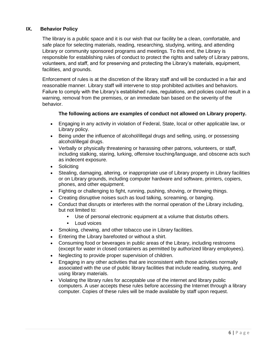# **IX. Behavior Policy**

The library is a public space and it is our wish that our facility be a clean, comfortable, and safe place for selecting materials, reading, researching, studying, writing, and attending Library or community sponsored programs and meetings. To this end, the Library is responsible for establishing rules of conduct to protect the rights and safety of Library patrons, volunteers, and staff, and for preserving and protecting the Library's materials, equipment, facilities, and grounds.

Enforcement of rules is at the discretion of the library staff and will be conducted in a fair and reasonable manner. Library staff will intervene to stop prohibited activities and behaviors. Failure to comply with the Library's established rules, regulations, and policies could result in a warning, removal from the premises, or an immediate ban based on the severity of the behavior.

# **The following actions are examples of conduct not allowed on Library property.**

- Engaging in any activity in violation of Federal, State, local or other applicable law, or Library policy.
- Being under the influence of alcohol/illegal drugs and selling, using, or possessing alcohol/illegal drugs.
- Verbally or physically threatening or harassing other patrons, volunteers, or staff, including stalking, staring, lurking, offensive touching/language, and obscene acts such as indecent exposure.
- Soliciting
- Stealing, damaging, altering, or inappropriate use of Library property in Library facilities or on Library grounds, including computer hardware and software, printers, copiers, phones, and other equipment.
- Fighting or challenging to fight, running, pushing, shoving, or throwing things.
- Creating disruptive noises such as loud talking, screaming, or banging.
- Conduct that disrupts or interferes with the normal operation of the Library including, but not limited to:
	- Use of personal electronic equipment at a volume that disturbs others.
	- **Loud voices**
- Smoking, chewing, and other tobacco use in Library facilities.
- **Entering the Library barefooted or without a shirt.**
- Consuming food or beverages in public areas of the Library, including restrooms (except for water in closed containers as permitted by authorized library employees).
- Neglecting to provide proper supervision of children.
- Engaging in any other activities that are inconsistent with those activities normally associated with the use of public library facilities that include reading, studying, and using library materials.
- Violating the library rules for acceptable use of the internet and library public computers. A user accepts these rules before accessing the Internet through a library computer. Copies of these rules will be made available by staff upon request.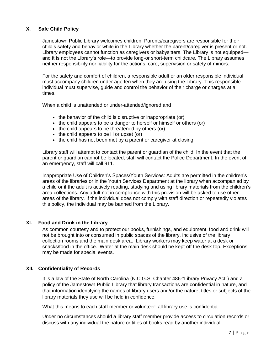# **X. Safe Child Policy**

Jamestown Public Library welcomes children. Parents/caregivers are responsible for their child's safety and behavior while in the Library whether the parent/caregiver is present or not. Library employees cannot function as caregivers or babysitters. The Library is not equipped and it is not the Library's role—to provide long-or short-term childcare. The Library assumes neither responsibility nor liability for the actions, care, supervision or safety of minors.

For the safety and comfort of children, a responsible adult or an older responsible individual must accompany children under age ten when they are using the Library. This responsible individual must supervise, guide and control the behavior of their charge or charges at all times.

When a child is unattended or under-attended/ignored and

- the behavior of the child is disruptive or inappropriate (or)
- the child appears to be a danger to herself or himself or others (or)
- the child appears to be threatened by others (or)
- $\bullet$  the child appears to be ill or upset (or)
- the child has not been met by a parent or caregiver at closing.

Library staff will attempt to contact the parent or guardian of the child. In the event that the parent or guardian cannot be located, staff will contact the Police Department. In the event of an emergency, staff will call 911.

Inappropriate Use of Children's Spaces/Youth Services: Adults are permitted in the children's areas of the libraries or in the Youth Services Department at the library when accompanied by a child or if the adult is actively reading, studying and using library materials from the children's area collections. Any adult not in compliance with this provision will be asked to use other areas of the library. If the individual does not comply with staff direction or repeatedly violates this policy, the individual may be banned from the Library.

#### **XI. Food and Drink in the Library**

As common courtesy and to protect our books, furnishings, and equipment, food and drink will not be brought into or consumed in public spaces of the library, inclusive of the library collection rooms and the main desk area. Library workers may keep water at a desk or snacks/food in the office. Water at the main desk should be kept off the desk top. Exceptions may be made for special events.

#### **XII. Confidentiality of Records**

It is a law of the State of North Carolina (N.C.G.S. Chapter 486-"Library Privacy Act") and a policy of the Jamestown Public Library that library transactions are confidential in nature, and that information identifying the names of library users and/or the nature, titles or subjects of the library materials they use will be held in confidence.

What this means to each staff member or volunteer: all library use is confidential.

Under no circumstances should a library staff member provide access to circulation records or discuss with any individual the nature or titles of books read by another individual.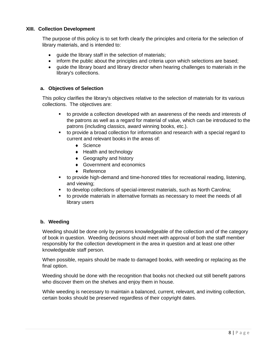# **XIII. Collection Development**

The purpose of this policy is to set forth clearly the principles and criteria for the selection of library materials, and is intended to:

- guide the library staff in the selection of materials;
- inform the public about the principles and criteria upon which selections are based;
- guide the library board and library director when hearing challenges to materials in the library's collections.

# **a. Objectives of Selection**

This policy clarifies the library's objectives relative to the selection of materials for its various collections. The objectives are:

- to provide a collection developed with an awareness of the needs and interests of the patrons as well as a regard for material of value, which can be introduced to the patrons (including classics, award winning books, etc.).
- to provide a broad collection for information and research with a special regard to current and relevant books in the areas of:
	- ◆ Science
	- ◆ Health and technology
	- ◆ Geography and history
	- ◆ Government and economics
	- ◆ Reference
- to provide high-demand and time-honored titles for recreational reading, listening, and viewing;
- to develop collections of special-interest materials, such as North Carolina;
- to provide materials in alternative formats as necessary to meet the needs of all library users

# **b. Weeding**

Weeding should be done only by persons knowledgeable of the collection and of the category of book in question. Weeding decisions should meet with approval of both the staff member responsibly for the collection development in the area in question and at least one other knowledgeable staff person.

When possible, repairs should be made to damaged books, with weeding or replacing as the final option.

Weeding should be done with the recognition that books not checked out still benefit patrons who discover them on the shelves and enjoy them in house.

While weeding is necessary to maintain a balanced, current, relevant, and inviting collection, certain books should be preserved regardless of their copyright dates.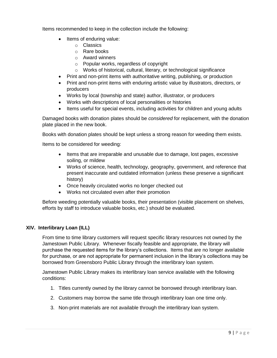Items recommended to keep in the collection include the following:

- Items of enduring value:
	- o Classics
	- o Rare books
	- o Award winners
	- o Popular works, regardless of copyright
	- o Works of historical, cultural, literary, or technological significance
- Print and non-print items with authoritative writing, publishing, or production
- Print and non-print items with enduring artistic value by illustrators, directors, or producers
- Works by local (township and state) author, illustrator, or producers
- Works with descriptions of local personalities or histories
- Items useful for special events, including activities for children and young adults

Damaged books with donation plates should be *considered* for replacement, with the donation plate placed in the new book.

Books with donation plates should be kept unless a strong reason for weeding them exists.

Items to be considered for weeding:

- Items that are irreparable and unusable due to damage, lost pages, excessive soiling, or mildew
- Works of science, health, technology, geography, government, and reference that present inaccurate and outdated information (unless these preserve a significant history)
- Once heavily circulated works no longer checked out
- Works not circulated even after their promotion

Before weeding potentially valuable books, their presentation (visible placement on shelves, efforts by staff to introduce valuable books, etc.) should be evaluated.

# **XIV. Interlibrary Loan (ILL)**

From time to time library customers will request specific library resources not owned by the Jamestown Public Library. Whenever fiscally feasible and appropriate, the library will purchase the requested items for the library's collections. Items that are no longer available for purchase, or are not appropriate for permanent inclusion in the library's collections may be borrowed from Greensboro Public Library through the interlibrary loan system.

Jamestown Public Library makes its interlibrary loan service available with the following conditions:

- 1. Titles currently owned by the library cannot be borrowed through interlibrary loan.
- 2. Customers may borrow the same title through interlibrary loan one time only.
- 3. Non-print materials are not available through the interlibrary loan system.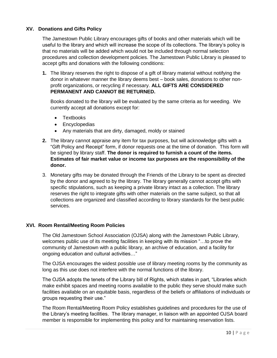# **XV. Donations and Gifts Policy**

The Jamestown Public Library encourages gifts of books and other materials which will be useful to the library and which will increase the scope of its collections. The library's policy is that no materials will be added which would not be included through normal selection procedures and collection development policies. The Jamestown Public Library is pleased to accept gifts and donations with the following conditions:

**1.** The library reserves the right to dispose of a gift of library material without notifying the donor in whatever manner the library deems best – book sales, donations to other nonprofit organizations, or recycling if necessary. **ALL GIFTS ARE CONSIDERED PERMANENT AND CANNOT BE RETURNED.**

Books donated to the library will be evaluated by the same criteria as for weeding. We currently accept all donations except for:

- Textbooks
- Encyclopedias
- Any materials that are dirty, damaged, moldy or stained
- **2.** The library cannot appraise any item for tax purposes, but will acknowledge gifts with a "Gift Policy and Receipt" form, if donor requests one at the time of donation. This form will be signed by library staff. **The donor is required to furnish a count of the items. Estimates of fair market value or income tax purposes are the responsibility of the donor.**
- 3. Monetary gifts may be donated through the Friends of the Library to be spent as directed by the donor and agreed to by the library. The library generally cannot accept gifts with specific stipulations, such as keeping a private library intact as a collection. The library reserves the right to integrate gifts with other materials on the same subject, so that all collections are organized and classified according to library standards for the best public services.

# **XVI. Room Rental/Meeting Room Policies**

The Old Jamestown School Association (OJSA) along with the Jamestown Public Library, welcomes public use of its meeting facilities in keeping with its mission "…to prove the community of Jamestown with a public library, an archive of education, and a facility for ongoing education and cultural activities…"

The OJSA encourages the widest possible use of library meeting rooms by the community as long as this use does not interfere with the normal functions of the library.

The OJSA adopts the tenets of the Library bill of Rights, which states in part, "Libraries which make exhibit spaces and meeting rooms available to the public they serve should make such facilities available on an equitable basis, regardless of the beliefs or affiliations of individuals or groups requesting their use."

The Room Rental/Meeting Room Policy establishes guidelines and procedures for the use of the Library's meeting facilities. The library manager, in liaison with an appointed OJSA board member is responsible for implementing this policy and for maintaining reservation lists.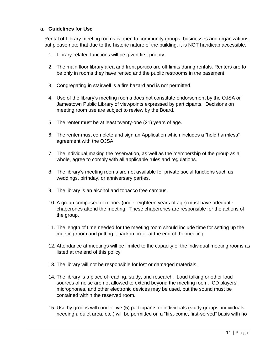# **a. Guidelines for Use**

Rental of Library meeting rooms is open to community groups, businesses and organizations, but please note that due to the historic nature of the building, it is NOT handicap accessible.

- 1. Library-related functions will be given first priority.
- 2. The main floor library area and front portico are off limits during rentals. Renters are to be only in rooms they have rented and the public restrooms in the basement.
- 3. Congregating in stairwell is a fire hazard and is not permitted.
- 4. Use of the library's meeting rooms does not constitute endorsement by the OJSA or Jamestown Public Library of viewpoints expressed by participants. Decisions on meeting room use are subject to review by the Board.
- 5. The renter must be at least twenty-one (21) years of age.
- 6. The renter must complete and sign an Application which includes a "hold harmless" agreement with the OJSA.
- 7. The individual making the reservation, as well as the membership of the group as a whole, agree to comply with all applicable rules and regulations.
- 8. The library's meeting rooms are not available for private social functions such as weddings, birthday, or anniversary parties.
- 9. The library is an alcohol and tobacco free campus.
- 10. A group composed of minors (under eighteen years of age) must have adequate chaperones attend the meeting. These chaperones are responsible for the actions of the group.
- 11. The length of time needed for the meeting room should include time for setting up the meeting room and putting it back in order at the end of the meeting.
- 12. Attendance at meetings will be limited to the capacity of the individual meeting rooms as listed at the end of this policy.
- 13. The library will not be responsible for lost or damaged materials.
- 14. The library is a place of reading, study, and research. Loud talking or other loud sources of noise are not allowed to extend beyond the meeting room. CD players, microphones, and other electronic devices may be used, but the sound must be contained within the reserved room.
- 15. Use by groups with under five (5) participants or individuals (study groups, individuals needing a quiet area, etc.) will be permitted on a "first-come, first-served" basis with no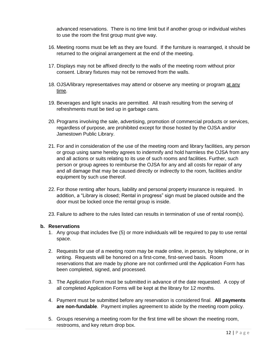advanced reservations. There is no time limit but if another group or individual wishes to use the room the first group must give way.

- 16. Meeting rooms must be left as they are found. If the furniture is rearranged, it should be returned to the original arrangement at the end of the meeting.
- 17. Displays may not be affixed directly to the walls of the meeting room without prior consent. Library fixtures may not be removed from the walls.
- 18. OJSA/library representatives may attend or observe any meeting or program at any time.
- 19. Beverages and light snacks are permitted. All trash resulting from the serving of refreshments must be tied up in garbage cans.
- 20. Programs involving the sale, advertising, promotion of commercial products or services, regardless of purpose, are prohibited except for those hosted by the OJSA and/or Jamestown Public Library.
- 21. For and in consideration of the use of the meeting room and library facilities, any person or group using same hereby agrees to indemnify and hold harmless the OJSA from any and all actions or suits relating to its use of such rooms and facilities. Further, such person or group agrees to reimburse the OJSA for any and all costs for repair of any and all damage that may be caused directly or indirectly to the room, facilities and/or equipment by such use thereof.
- 22. For those renting after hours, liability and personal property insurance is required. In addition, a "Library is closed; Rental in progress" sign must be placed outside and the door must be locked once the rental group is inside.
- 23. Failure to adhere to the rules listed can results in termination of use of rental room(s).

#### **b. Reservations**

- 1. Any group that includes five (5) or more individuals will be required to pay to use rental space.
- 2. Requests for use of a meeting room may be made online, in person, by telephone, or in writing. Requests will be honored on a first-come, first-served basis. Room reservations that are made by phone are not confirmed until the Application Form has been completed, signed, and processed.
- 3. The Application Form must be submitted in advance of the date requested. A copy of all completed Application Forms will be kept at the library for 12 months.
- 4. Payment must be submitted before any reservation is considered final. **All payments are non-fundable**. Payment implies agreement to abide by the meeting room policy.
- 5. Groups reserving a meeting room for the first time will be shown the meeting room, restrooms, and key return drop box.